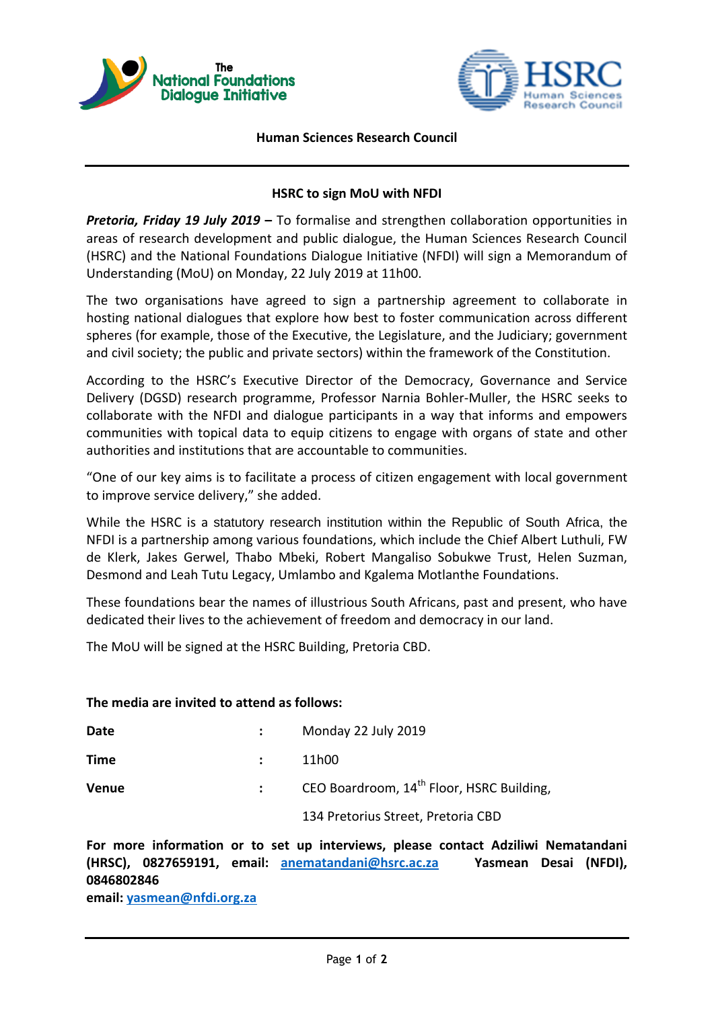



#### **Human Sciences Research Council**

## **HSRC to sign MoU with NFDI**

*Pretoria, Friday 19 July 2019* **–** To formalise and strengthen collaboration opportunities in areas of research development and public dialogue, the Human Sciences Research Council (HSRC) and the National Foundations Dialogue Initiative (NFDI) will sign a Memorandum of Understanding (MoU) on Monday, 22 July 2019 at 11h00.

The two organisations have agreed to sign a partnership agreement to collaborate in hosting national dialogues that explore how best to foster communication across different spheres (for example, those of the Executive, the Legislature, and the Judiciary; government and civil society; the public and private sectors) within the framework of the Constitution.

According to the HSRC's Executive Director of the Democracy, Governance and Service Delivery (DGSD) research programme, Professor Narnia Bohler-Muller, the HSRC seeks to collaborate with the NFDI and dialogue participants in a way that informs and empowers communities with topical data to equip citizens to engage with organs of state and other authorities and institutions that are accountable to communities.

"One of our key aims is to facilitate a process of citizen engagement with local government to improve service delivery," she added.

While the HSRC is a statutory research institution within the Republic of South Africa, the NFDI is a partnership among various foundations, which include the Chief Albert Luthuli, FW de Klerk, Jakes Gerwel, Thabo Mbeki, Robert Mangaliso Sobukwe Trust, Helen Suzman, Desmond and Leah Tutu Legacy, Umlambo and Kgalema Motlanthe Foundations.

These foundations bear the names of illustrious South Africans, past and present, who have dedicated their lives to the achievement of freedom and democracy in our land.

The MoU will be signed at the HSRC Building, Pretoria CBD.

#### **The media are invited to attend as follows:**

| Date         | Monday 22 July 2019                                   |
|--------------|-------------------------------------------------------|
| Time         | 11h00                                                 |
| <b>Venue</b> | CEO Boardroom, 14 <sup>th</sup> Floor, HSRC Building, |
|              | 134 Pretorius Street, Pretoria CBD                    |

**For more information or to set up interviews, please contact Adziliwi Nematandani (HRSC), 0827659191, email: [anematandani@hsrc.ac.za](mailto:anematandani@hsrc.ac.zaY) Yasmean Desai (NFDI), 0846802846** 

**email: [yasmean@nfdi.org.za](mailto:yasmean@nfdi.org.za)**